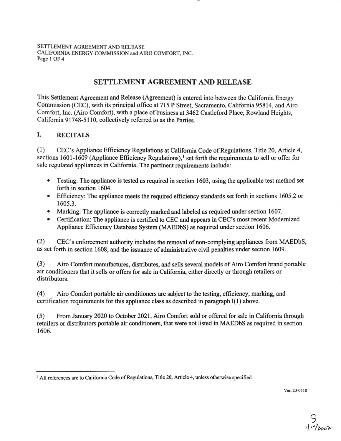SETTLEMENT AGREEMENT AND RELEASE CALIFORNIA ENERGY COMMISSION and AIRO COMFORT, INC. Page I OF 4

## **SETTLEMENT AGREEMENT AND RELEASE**

This Settlement Agreement and Release (Agreement) is entered into between the California Energy Commission (CEC), with its principal office at 715 P Street, Sacramento, California 95814, and Airo Comfort, Inc. (Airo Comfort), with a place of business at 3462 Castleford Place, Rowland Heights, California 91748-5110, collectively referred to as the Parties.

## **I. RECITALS**

(1) CEC's Appliance Efficiency Regulations at California Code of Regulations, Title 20, Article 4, sections 1601-1609 (Appliance Efficiency Regulations),<sup>1</sup> set forth the requirements to sell or offer for sale regulated appliances in California. The pertinent requirements include:

- Testing: The appliance is tested as required in section 1603, using the applicable test method set forth in section 1604.
- Efficiency: The appliance meets the required efficiency standards set forth in sections 1605.2 or 1605.3.
- Marking: The appliance is correctly marked and labeled as required under section 1607.
- Certification: The appliance is certified to CEC and appears in CEC's most recent Modernized Appliance Efficiency Database System (MAEDbS) as required under section 1606.

(2) CEC's enforcement authority includes the removal of non-complying appliances from MAEDbS, as set forth in section 1608, and the issuance of administrative civil penalties under section 1609.

(3) Airo Comfort manufactures, distributes, and sells several models of Airo Comfort brand portable air conditioners that it sells or offers for sale in California, either directly or through retailers or distributors.

(4) Airo Comfort portable air conditioners are subject to the testing, efficiency, marking, and certification requirements for this appliance class as described in paragraph I(l) above.

(5) From January 2020 to October 2021, Airo Comfort sold or offered for sale in California through retailers or distributors portable air conditioners, that were not listed in MAEDbS as required in section 1606.

Ver. 20-0518

 $9$ <br> $102022$ 

<sup>&</sup>lt;sup>1</sup> All references are to California Code of Regulations, Title 20, Article 4, unless otherwise specified.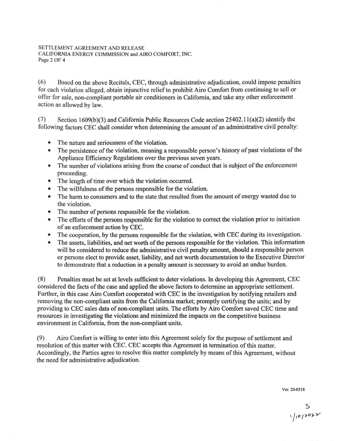( 6) Based on the above Recitals, CEC, through administrative adjudication, could impose penalties for each violation alleged, obtain injunctive relief to prohibit Airo Comfort from continuing to sell or offer for sale, non-compliant portable air conditioners in California, and take any other enforcement action as allowed by law.

(7) Section 1609(b)(3) and California Public Resources Code section  $25402.11(a)(2)$  identify the following factors CEC shall consider when determining the amount of an administrative civil penalty:

- The nature and seriousness of the violation.
- The persistence of the violation, meaning a responsible person's history of past violations of the Appliance Efficiency Regulations over the previous seven years.
- The number of violations arising from the course of conduct that is subject of the enforcement proceeding.
- The length of time over which the violation occurred.
- The willfulness of the persons responsible for the violation.
- The harm to consumers and to the state that resulted from the amount of energy wasted due to the violation.
- The number of persons responsible for the violation.
- The efforts of the persons responsible for the violation to correct the violation prior to initiation of an enforcement action by CEC.
- The cooperation, by the persons responsible for the violation, with CEC during its investigation.
- The assets, liabilities, and net worth of the persons responsible for the violation. This information will be considered to reduce the administrative civil penalty amount, should a responsible person or persons elect to provide asset, liability, and net worth documentation to the Executive Director to demonstrate that a reduction in a penalty amount is necessary to avoid an undue burden.

(8) Penalties must be set at levels sufficient to deter violations. In developing this Agreement, CEC considered the facts of the case and applied the above factors to determine an appropriate settlement. Further, in this case Airo Comfort cooperated with CEC in the investigation by notifying retailers and removing the non-compliant units from the California market; promptly certifying the units; and by providing to CEC sales data of non-compliant units. The efforts by Airo Comfort saved CEC time and resources in investigating the violations and minimized the impacts on the competitive business environment in California, from the non-compliant units.

(9) Airo Comfort is willing to enter into this Agreement solely for the purpose of settlement and resolution of this matter with CEC. CEC accepts this Agreement in termination of this matter. Accordingly, the Parties agree to resolve this matter completely by means of this Agreement, without the need for administrative adjudication.

Ver. 20-0518

S<br>V<sub>101202</sub>2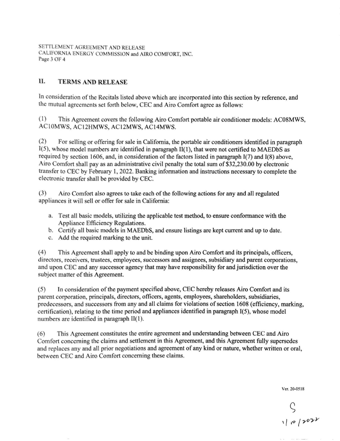ETTLEMENT AGREEMENT AND RELEASE LIFORNIA ENERGY COMMISSION and AIRO COMFORT, INC. Pagc3 OF 4

## **ll.** TERMS AND RELEASE

In consideration of the Recitals listed above which are incorporated into this section by reference, and the mutual agreements set forth below, CEC and Airo Comfort agree as follows:

(1) This Agreement covers the following Airo Comfort portable air conditioner models: AC08MWS, AC10MWS, AC12HMWS, AC12MWS, AC14MWS.

(2) For selling or offering for sale in California, the portable air conditioners identified in paragraph  $I(5)$ , whose model numbers are identified in paragraph  $II(1)$ , that were not certified to MAEDbS as required by section 1606, and, in consideration of the factors listed in paragraph 1(7) and 1(8) above, Airo Comfort shall pay as an administrative civil penalty the total sum of \$32,230.00 by electronic tran fer to CEC by February l, 2022. Banking infonnation and instructions necessary to complete the electronic transfer shall be provided by CEC.

(3) Airo Comfort also agrees to take each of the following actions for any and all regulated appliances it will sell or offer for sale in California:

- a. Test all basic models, utilizing the applicable test method, to ensure conformance with the Appliance Efficiency Regulations.
- b. Certify all basic models in MAEDbS, and ensure listings are kept current and up to date.
- c. Add the required marking to the unit

(4) This Agreement shall apply to and be binding upon Airo Comfort and its principals, officers, directors, receivers, trustees, employees, successors and assignees, subsidiary and parent corporations, and upon CEC and any successor agency that may have responsibility for and jurisdiction over the subject matter of this Agreement.

(5) In consideration of the payment specified above, CEC hereby releases Airo Comfort and its parent corporation, principals, directors, officers, agents, employees, shareholders, subsidiaries, predecessors, and successors from any and all claims for violations of section 1608 (efficiency, marking, certification), relating to the time period and appliances identified in paragraph 1(5), whose model numbers are identified in paragraph II(l).

(6) This Agreement constitutes the entire agreement and understanding between CEC and Airo Comfort conceming the claims and settlement in this Agreement, and this Agreement fully supersedes and replaces any and all prior negotiations and agreement of any kind or nature, whether written or oral, between CEC and Airo Comfort concerning these claims.

Ver. 20-0518

 $S$ <br> $1001001$